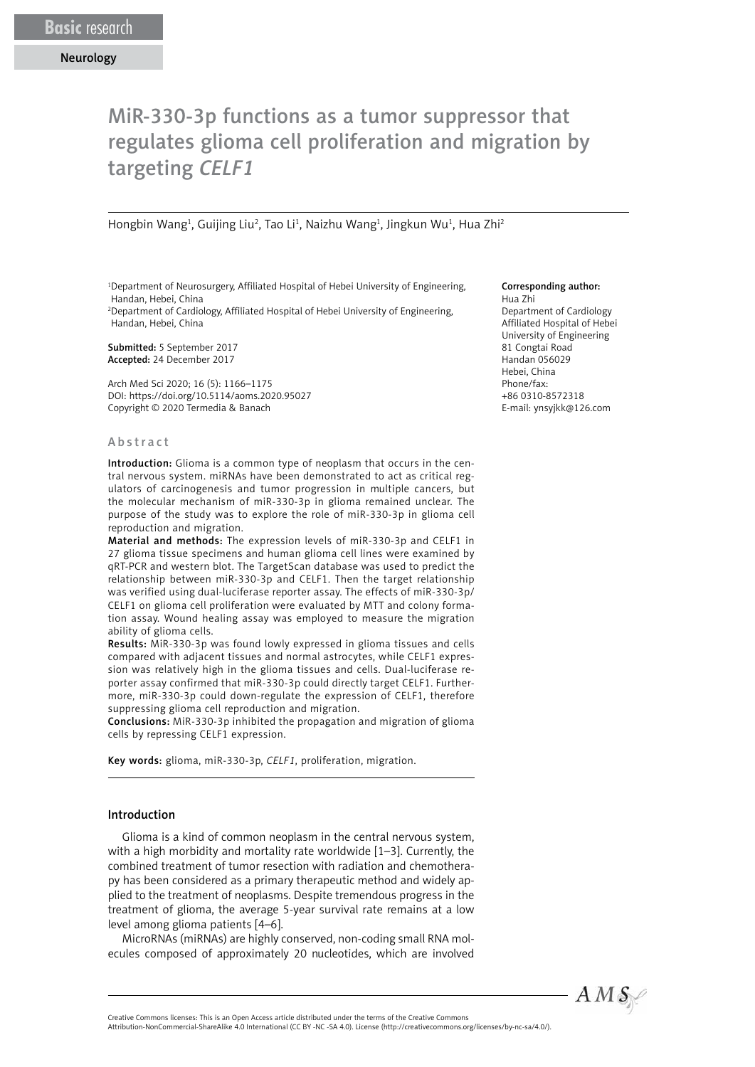# MiR-330-3p functions as a tumor suppressor that regulates glioma cell proliferation and migration by targeting *CELF1*

Hongbin Wang<sup>1</sup>, Guijing Liu<sup>2</sup>, Tao Li<sup>1</sup>, Naizhu Wang<sup>1</sup>, Jingkun Wu<sup>1</sup>, Hua Zhi<sup>2</sup>

<sup>1</sup>Department of Neurosurgery, Affiliated Hospital of Hebei University of Engineering, Handan, Hebei, China

2 Department of Cardiology, Affiliated Hospital of Hebei University of Engineering, Handan, Hebei, China

Submitted: 5 September 2017 Accepted: 24 December 2017

Arch Med Sci 2020; 16 (5): 1166–1175 DOI: https://doi.org/10.5114/aoms.2020.95027 Copyright © 2020 Termedia & Banach

#### Abstract

Introduction: Glioma is a common type of neoplasm that occurs in the central nervous system. miRNAs have been demonstrated to act as critical regulators of carcinogenesis and tumor progression in multiple cancers, but the molecular mechanism of miR-330-3p in glioma remained unclear. The purpose of the study was to explore the role of miR-330-3p in glioma cell reproduction and migration.

Material and methods: The expression levels of miR-330-3p and CELF1 in 27 glioma tissue specimens and human glioma cell lines were examined by qRT-PCR and western blot. The TargetScan database was used to predict the relationship between miR-330-3p and CELF1. Then the target relationship was verified using dual-luciferase reporter assay. The effects of miR-330-3p/ CELF1 on glioma cell proliferation were evaluated by MTT and colony formation assay. Wound healing assay was employed to measure the migration ability of glioma cells.

Results: MiR-330-3p was found lowly expressed in glioma tissues and cells compared with adjacent tissues and normal astrocytes, while CELF1 expression was relatively high in the glioma tissues and cells. Dual-luciferase reporter assay confirmed that miR-330-3p could directly target CELF1. Furthermore, miR-330-3p could down-regulate the expression of CELF1, therefore suppressing glioma cell reproduction and migration.

Conclusions: MiR-330-3p inhibited the propagation and migration of glioma cells by repressing CELF1 expression.

Key words: glioma, miR-330-3p, *CELF1*, proliferation, migration.

#### Introduction

Glioma is a kind of common neoplasm in the central nervous system, with a high morbidity and mortality rate worldwide [1–3]. Currently, the combined treatment of tumor resection with radiation and chemotherapy has been considered as a primary therapeutic method and widely applied to the treatment of neoplasms. Despite tremendous progress in the treatment of glioma, the average 5-year survival rate remains at a low level among glioma patients [4–6].

MicroRNAs (miRNAs) are highly conserved, non-coding small RNA molecules composed of approximately 20 nucleotides, which are involved

#### Corresponding author:

Hua Zhi Department of Cardiology Affiliated Hospital of Hebei University of Engineering 81 Congtai Road Handan 056029 Hebei, China Phone/fax: +86 0310-8572318 E-mail: [ynsyjkk@126.com](mailto:ynsyjkk@126.com)



Attribution-NonCommercial-ShareAlike 4.0 International (CC BY -NC -SA 4.0). License (http://creativecommons.org/licenses/by-nc-sa/4.0/).

Creative Commons licenses: This is an Open Access article distributed under the terms of the Creative Commons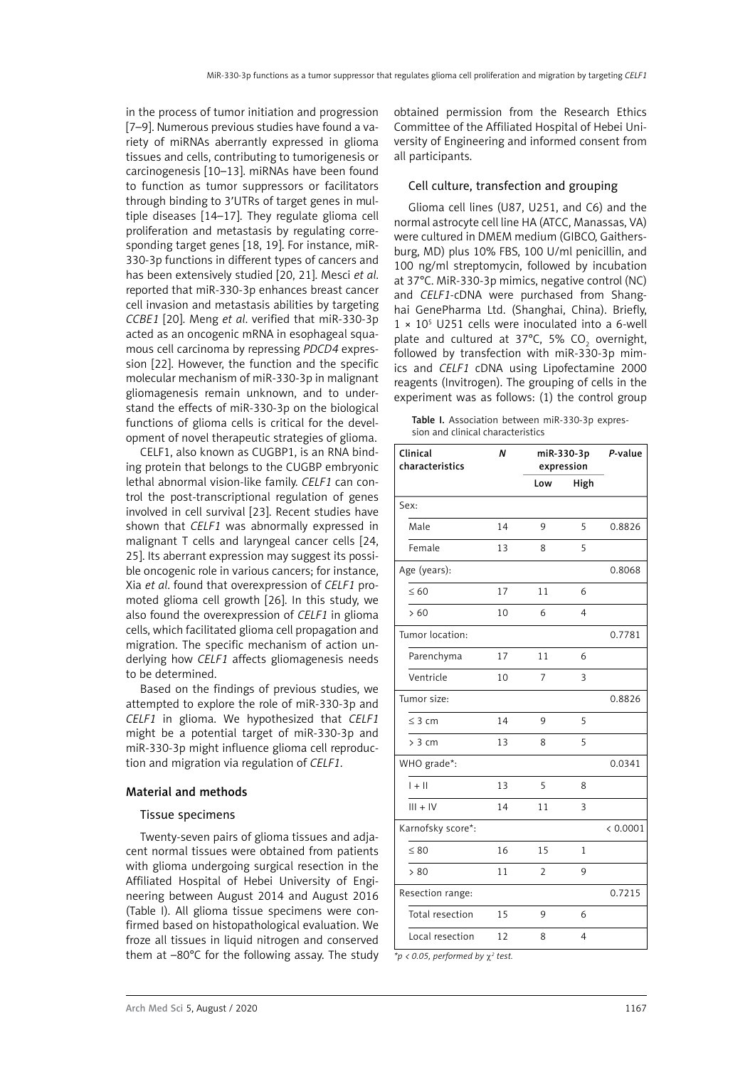in the process of tumor initiation and progression [7–9]. Numerous previous studies have found a variety of miRNAs aberrantly expressed in glioma tissues and cells, contributing to tumorigenesis or carcinogenesis [10–13]. miRNAs have been found to function as tumor suppressors or facilitators through binding to 3′UTRs of target genes in multiple diseases [14–17]. They regulate glioma cell proliferation and metastasis by regulating corresponding target genes [18, 19]. For instance, miR-330-3p functions in different types of cancers and has been extensively studied [20, 21]. Mesci *et al*. reported that miR-330-3p enhances breast cancer cell invasion and metastasis abilities by targeting *CCBE1* [20]. Meng *et al*. verified that miR-330-3p acted as an oncogenic mRNA in esophageal squamous cell carcinoma by repressing *PDCD4* expression [22]. However, the function and the specific molecular mechanism of miR-330-3p in malignant gliomagenesis remain unknown, and to understand the effects of miR-330-3p on the biological functions of glioma cells is critical for the development of novel therapeutic strategies of glioma.

CELF1, also known as CUGBP1, is an RNA binding protein that belongs to the CUGBP embryonic lethal abnormal vision-like family. *CELF1* can control the post-transcriptional regulation of genes involved in cell survival [23]. Recent studies have shown that *CELF1* was abnormally expressed in malignant T cells and laryngeal cancer cells [24, 25]. Its aberrant expression may suggest its possible oncogenic role in various cancers; for instance, Xia *et al*. found that overexpression of *CELF1* promoted glioma cell growth [26]. In this study, we also found the overexpression of *CELF1* in glioma cells, which facilitated glioma cell propagation and migration. The specific mechanism of action underlying how *CELF1* affects gliomagenesis needs to be determined.

Based on the findings of previous studies, we attempted to explore the role of miR-330-3p and *CELF1* in glioma. We hypothesized that *CELF1* might be a potential target of miR-330-3p and miR-330-3p might influence glioma cell reproduction and migration via regulation of *CELF1*.

#### Material and methods

### Tissue specimens

Twenty-seven pairs of glioma tissues and adjacent normal tissues were obtained from patients with glioma undergoing surgical resection in the Affiliated Hospital of Hebei University of Engineering between August 2014 and August 2016 (Table I). All glioma tissue specimens were confirmed based on histopathological evaluation. We froze all tissues in liquid nitrogen and conserved them at –80°C for the following assay. The study obtained permission from the Research Ethics Committee of the Affiliated Hospital of Hebei University of Engineering and informed consent from all participants.

## Cell culture, transfection and grouping

Glioma cell lines (U87, U251, and C6) and the normal astrocyte cell line HA (ATCC, Manassas, VA) were cultured in DMEM medium (GIBCO, Gaithersburg, MD) plus 10% FBS, 100 U/ml penicillin, and 100 ng/ml streptomycin, followed by incubation at 37°C. MiR-330-3p mimics, negative control (NC) and *CELF1*-cDNA were purchased from Shanghai GenePharma Ltd. (Shanghai, China). Briefly,  $1 \times 10^5$  U251 cells were inoculated into a 6-well plate and cultured at 37°C, 5%  $CO<sub>2</sub>$  overnight, followed by transfection with miR-330-3p mimics and *CELF1* cDNA using Lipofectamine 2000 reagents (Invitrogen). The grouping of cells in the experiment was as follows: (1) the control group

Table I. Association between miR-330-3p expression and clinical characteristics

| Clinical<br>characteristics | Ν  | miR-330-3p<br>expression |      | P-value  |
|-----------------------------|----|--------------------------|------|----------|
|                             |    | Low                      | High |          |
| Sex:                        |    |                          |      |          |
| Male                        | 14 | 9                        | 5    | 0.8826   |
| Female                      | 13 | 8                        | 5    |          |
| Age (years):                |    |                          |      | 0.8068   |
| $\leq 60$                   | 17 | 11                       | 6    |          |
| >60                         | 10 | 6                        | 4    |          |
| Tumor location:             |    |                          |      | 0.7781   |
| Parenchyma                  | 17 | 11                       | 6    |          |
| Ventricle                   | 10 | 7                        | 3    |          |
| Tumor size:                 |    |                          |      | 0.8826   |
| $\leq$ 3 cm                 | 14 | 9                        | 5    |          |
| > 3 cm                      | 13 | 8                        | 5    |          |
| WHO grade*:                 |    |                          |      | 0.0341   |
| $1 + 11$                    | 13 | 5                        | 8    |          |
| $III + IV$                  | 14 | 11                       | 3    |          |
| Karnofsky score*:           |    |                          |      | < 0.0001 |
| $\leq 80$                   | 16 | 15                       | 1    |          |
| > 80                        | 11 | $\overline{2}$           | 9    |          |
| Resection range:            |    |                          |      | 0.7215   |
| Total resection             | 15 | 9                        | 6    |          |
| Local resection             | 12 | 8                        | 4    |          |

*\*p < 0.05, performed by* χ*<sup>2</sup> test.*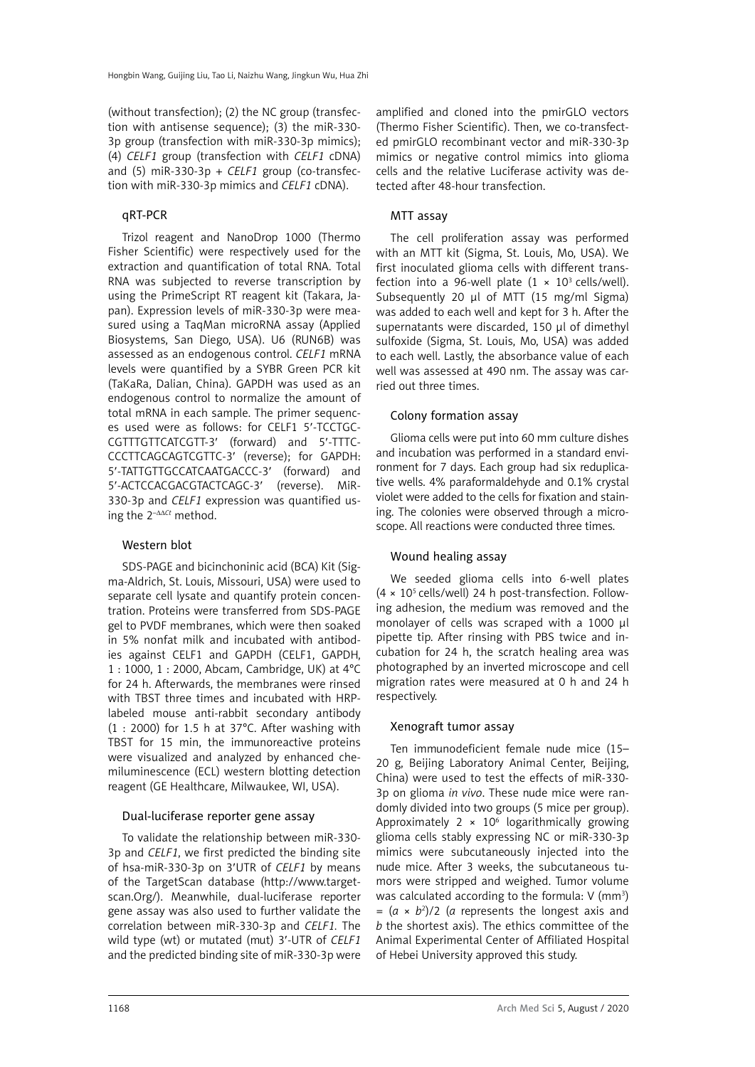(without transfection); (2) the NC group (transfection with antisense sequence); (3) the miR-330- 3p group (transfection with miR-330-3p mimics); (4) *CELF1* group (transfection with *CELF1* cDNA) and (5) miR-330-3p + *CELF1* group (co-transfection with miR-330-3p mimics and *CELF1* cDNA).

## qRT-PCR

Trizol reagent and NanoDrop 1000 (Thermo Fisher Scientific) were respectively used for the extraction and quantification of total RNA. Total RNA was subjected to reverse transcription by using the PrimeScript RT reagent kit (Takara, Japan). Expression levels of miR-330-3p were measured using a TaqMan microRNA assay (Applied Biosystems, San Diego, USA). U6 (RUN6B) was assessed as an endogenous control. *CELF1* mRNA levels were quantified by a SYBR Green PCR kit (TaKaRa, Dalian, China). GAPDH was used as an endogenous control to normalize the amount of total mRNA in each sample. The primer sequences used were as follows: for CELF1 5′-TCCTGC-CGTTTGTTCATCGTT-3′ (forward) and 5′-TTTC-CCCTTCAGCAGTCGTTC-3′ (reverse); for GAPDH: 5′-TATTGTTGCCATCAATGACCC-3′ (forward) and 5′-ACTCCACGACGTACTCAGC-3′ (reverse). MiR-330-3p and *CELF1* expression was quantified using the 2<sup>- $\Delta\Delta$ Ct</sup> method.

## Western blot

SDS-PAGE and bicinchoninic acid (BCA) Kit (Sigma-Aldrich, St. Louis, Missouri, USA) were used to separate cell lysate and quantify protein concentration. Proteins were transferred from SDS-PAGE gel to PVDF membranes, which were then soaked in 5% nonfat milk and incubated with antibodies against CELF1 and GAPDH (CELF1, GAPDH, 1 : 1000, 1 : 2000, Abcam, Cambridge, UK) at 4°C for 24 h. Afterwards, the membranes were rinsed with TBST three times and incubated with HRPlabeled mouse anti-rabbit secondary antibody (1 : 2000) for 1.5 h at 37°C. After washing with TBST for 15 min, the immunoreactive proteins were visualized and analyzed by enhanced chemiluminescence (ECL) western blotting detection reagent (GE Healthcare, Milwaukee, WI, USA).

#### Dual-luciferase reporter gene assay

To validate the relationship between miR-330- 3p and *CELF1*, we first predicted the binding site of hsa-miR-330-3p on 3′UTR of *CELF1* by means of the TargetScan database (http://www.targetscan.Org/). Meanwhile, dual-luciferase reporter gene assay was also used to further validate the correlation between miR-330-3p and *CELF1.* The wild type (wt) or mutated (mut) 3′-UTR of *CELF1*  and the predicted binding site of miR-330-3p were

amplified and cloned into the pmirGLO vectors (Thermo Fisher Scientific). Then, we co-transfected pmirGLO recombinant vector and miR-330-3p mimics or negative control mimics into glioma cells and the relative Luciferase activity was detected after 48-hour transfection.

## MTT assay

The cell proliferation assay was performed with an MTT kit (Sigma, St. Louis, Mo, USA). We first inoculated glioma cells with different transfection into a 96-well plate  $(1 \times 10^3 \text{ cells/well}).$ Subsequently 20 μl of MTT (15 mg/ml Sigma) was added to each well and kept for 3 h. After the supernatants were discarded, 150 μl of dimethyl sulfoxide (Sigma, St. Louis, Mo, USA) was added to each well. Lastly, the absorbance value of each well was assessed at 490 nm. The assay was carried out three times.

## Colony formation assay

Glioma cells were put into 60 mm culture dishes and incubation was performed in a standard environment for 7 days. Each group had six reduplicative wells. 4% paraformaldehyde and 0.1% crystal violet were added to the cells for fixation and staining. The colonies were observed through a microscope. All reactions were conducted three times.

## Wound healing assay

We seeded glioma cells into 6-well plates  $(4 \times 10^5 \text{ cells/well})$  24 h post-transfection. Following adhesion, the medium was removed and the monolayer of cells was scraped with a 1000 μl pipette tip. After rinsing with PBS twice and incubation for 24 h, the scratch healing area was photographed by an inverted microscope and cell migration rates were measured at 0 h and 24 h respectively.

## Xenograft tumor assay

Ten immunodeficient female nude mice (15– 20 g, Beijing Laboratory Animal Center, Beijing, China) were used to test the effects of miR-330- 3p on glioma *in vivo*. These nude mice were randomly divided into two groups (5 mice per group). Approximately  $2 \times 10^6$  logarithmically growing glioma cells stably expressing NC or miR-330-3p mimics were subcutaneously injected into the nude mice. After 3 weeks, the subcutaneous tumors were stripped and weighed. Tumor volume was calculated according to the formula:  $V$  (mm<sup>3</sup>)  $=(a \times b^2)/2$  (*a* represents the longest axis and *b* the shortest axis). The ethics committee of the Animal Experimental Center of Affiliated Hospital of Hebei University approved this study.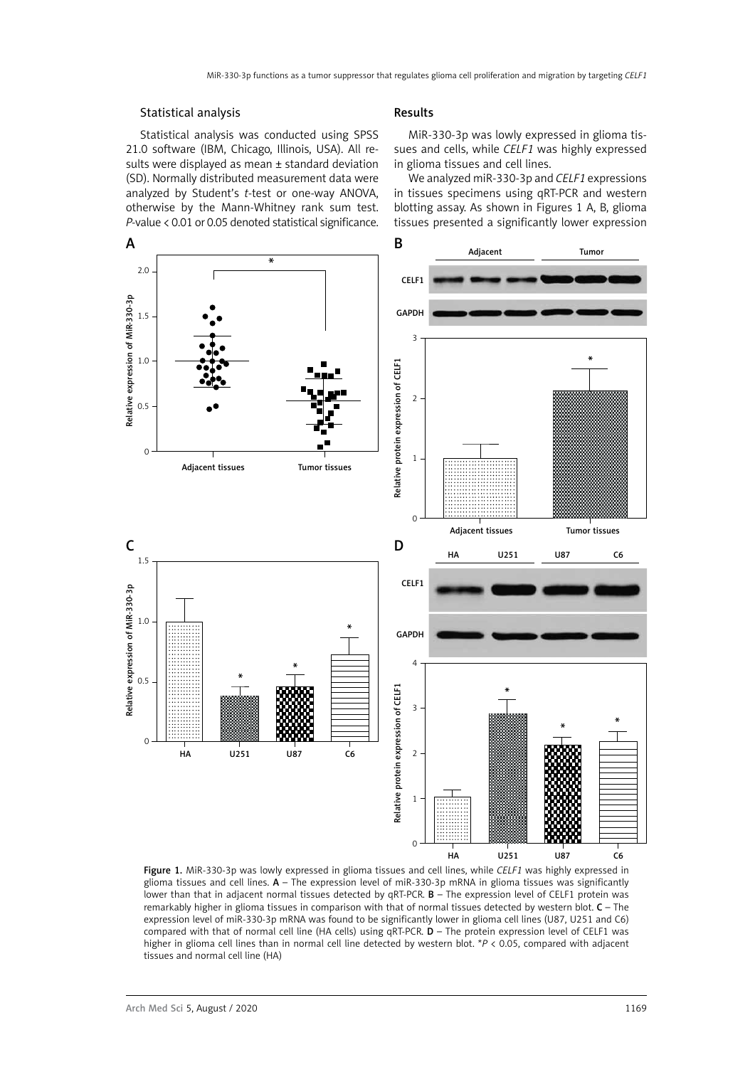#### Statistical analysis

Statistical analysis was conducted using SPSS 21.0 software (IBM, Chicago, Illinois, USA). All results were displayed as mean ± standard deviation (SD). Normally distributed measurement data were analyzed by Student's *t*-test or one-way ANOVA, otherwise by the Mann-Whitney rank sum test. *P*-value < 0.01 or 0.05 denoted statistical significance.

#### Results

MiR-330-3p was lowly expressed in glioma tissues and cells, while *CELF1* was highly expressed in glioma tissues and cell lines.

We analyzed miR-330-3p and *CELF1* expressions in tissues specimens using qRT-PCR and western blotting assay. As shown in Figures 1 A, B, glioma tissues presented a significantly lower expression



Figure 1. MiR-330-3p was lowly expressed in glioma tissues and cell lines, while *CELF1* was highly expressed in glioma tissues and cell lines.  $A$  – The expression level of miR-330-3p mRNA in glioma tissues was significantly lower than that in adjacent normal tissues detected by qRT-PCR. **B** - The expression level of CELF1 protein was remarkably higher in glioma tissues in comparison with that of normal tissues detected by western blot. C – The expression level of miR-330-3p mRNA was found to be significantly lower in glioma cell lines (U87, U251 and C6) compared with that of normal cell line (HA cells) using  $qRT-PCR$ .  $D$  – The protein expression level of CELF1 was higher in glioma cell lines than in normal cell line detected by western blot. \**P* < 0.05, compared with adjacent tissues and normal cell line (HA)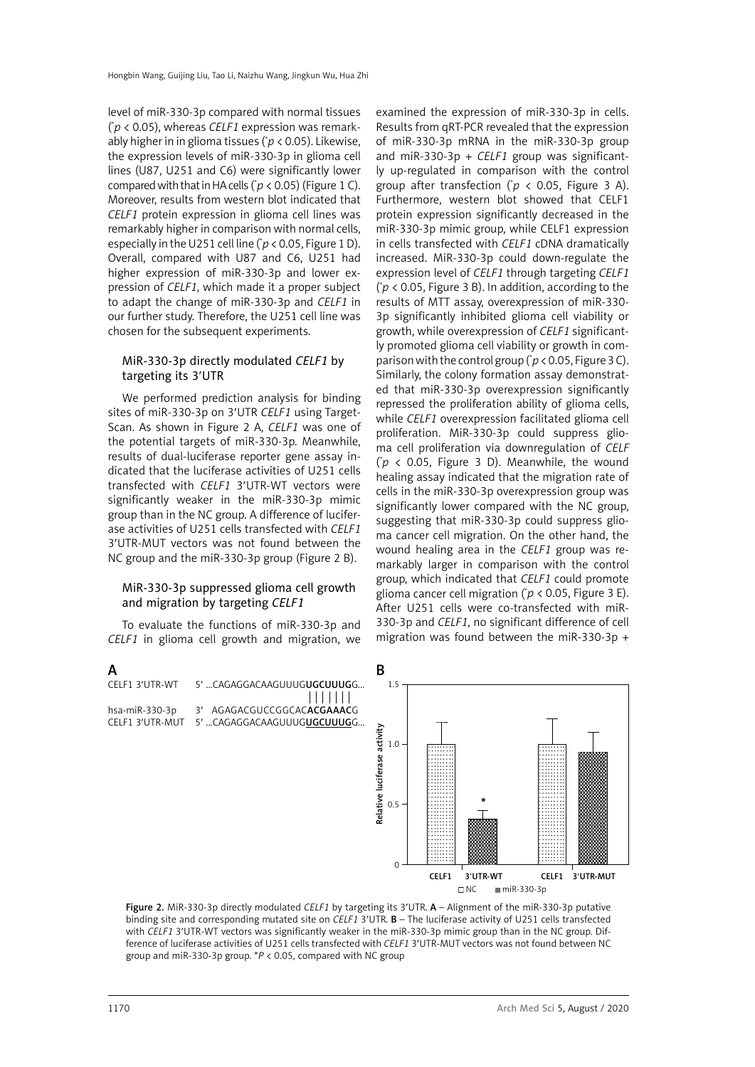level of miR-330-3p compared with normal tissues ( \* *p* < 0.05), whereas *CELF1* expression was remarkably higher in in glioma tissues (\* *p* < 0.05). Likewise, the expression levels of miR-330-3p in glioma cell lines (U87, U251 and C6) were significantly lower compared with that in HA cells ( $p$  < 0.05) (Figure 1 C). Moreover, results from western blot indicated that *CELF1* protein expression in glioma cell lines was remarkably higher in comparison with normal cells, especially in the U251 cell line (\* *p* < 0.05, Figure 1 D). Overall, compared with U87 and C6, U251 had higher expression of miR-330-3p and lower expression of *CELF1*, which made it a proper subject to adapt the change of miR-330-3p and *CELF1* in our further study. Therefore, the U251 cell line was chosen for the subsequent experiments.

## MiR-330-3p directly modulated *CELF1* by targeting its 3′UTR

We performed prediction analysis for binding sites of miR-330-3p on 3′UTR *CELF1* using Target-Scan. As shown in Figure 2 A, *CELF1* was one of the potential targets of miR-330-3p. Meanwhile, results of dual-luciferase reporter gene assay indicated that the luciferase activities of U251 cells transfected with *CELF1* 3′UTR-WT vectors were significantly weaker in the miR-330-3p mimic group than in the NC group. A difference of luciferase activities of U251 cells transfected with *CELF1* 3′UTR-MUT vectors was not found between the NC group and the miR-330-3p group (Figure 2 B).

## MiR-330-3p suppressed glioma cell growth and migration by targeting *CELF1*

To evaluate the functions of miR-330-3p and *CELF1* in glioma cell growth and migration, we

examined the expression of miR-330-3p in cells. Results from qRT-PCR revealed that the expression of miR-330-3p mRNA in the miR-330-3p group and miR-330-3p + *CELF1* group was significantly up-regulated in comparison with the control group after transfection ( $p$  < 0.05, Figure 3 A). Furthermore, western blot showed that CELF1 protein expression significantly decreased in the miR-330-3p mimic group, while CELF1 expression in cells transfected with *CELF1* cDNA dramatically increased. MiR-330-3p could down-regulate the expression level of *CELF1* through targeting *CELF1*  $(p < 0.05$ , Figure 3 B). In addition, according to the results of MTT assay, overexpression of miR-330- 3p significantly inhibited glioma cell viability or growth, while overexpression of *CELF1* significantly promoted glioma cell viability or growth in comparison with the control group (\* *p* < 0.05, Figure 3 C). Similarly, the colony formation assay demonstrated that miR-330-3p overexpression significantly repressed the proliferation ability of glioma cells, while *CELF1* overexpression facilitated glioma cell proliferation. MiR-330-3p could suppress glioma cell proliferation via downregulation of *CELF*   $(p \lt 0.05,$  Figure 3 D). Meanwhile, the wound healing assay indicated that the migration rate of cells in the miR-330-3p overexpression group was significantly lower compared with the NC group, suggesting that miR-330-3p could suppress glioma cancer cell migration. On the other hand, the wound healing area in the *CELF1* group was remarkably larger in comparison with the control group, which indicated that *CELF1* could promote glioma cancer cell migration ( $p$  < 0.05, Figure 3 E). After U251 cells were co-transfected with miR-330-3p and *CELF1*, no significant difference of cell migration was found between the miR-330-3p +



Figure 2. MiR-330-3p directly modulated *CELF1* by targeting its 3′UTR. A – Alignment of the miR-330-3p putative binding site and corresponding mutated site on *CELF1* 3′UTR. B – The luciferase activity of U251 cells transfected with *CELF1* 3'UTR-WT vectors was significantly weaker in the miR-330-3p mimic group than in the NC group. Difference of luciferase activities of U251 cells transfected with *CELF1* 3′UTR-MUT vectors was not found between NC group and miR-330-3p group. \**P* < 0.05, compared with NC group

#### 1170 Arch Med Sci 5, August / 2020

A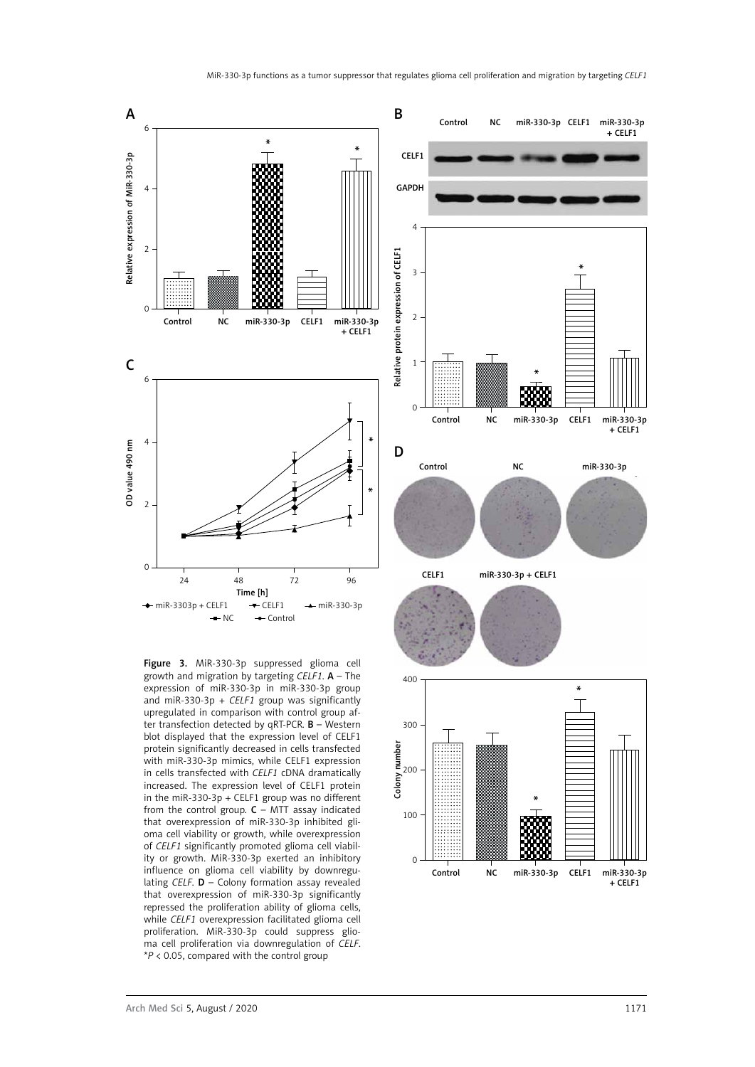

Figure 3. MiR-330-3p suppressed glioma cell growth and migration by targeting *CELF1*. A – The expression of miR-330-3p in miR-330-3p group and miR-330-3p + *CELF1* group was significantly upregulated in comparison with control group after transfection detected by qRT-PCR. B – Western blot displayed that the expression level of CELF1 protein significantly decreased in cells transfected with miR-330-3p mimics, while CELF1 expression in cells transfected with *CELF1* cDNA dramatically increased. The expression level of CELF1 protein in the miR-330-3p + CELF1 group was no different from the control group.  $C$  – MTT assay indicated that overexpression of miR-330-3p inhibited glioma cell viability or growth, while overexpression of *CELF1* significantly promoted glioma cell viability or growth. MiR-330-3p exerted an inhibitory influence on glioma cell viability by downregulating *CELF*. D – Colony formation assay revealed that overexpression of miR-330-3p significantly repressed the proliferation ability of glioma cells, while *CELF1* overexpression facilitated glioma cell proliferation. MiR-330-3p could suppress glioma cell proliferation via downregulation of *CELF*. \**P* < 0.05, compared with the control group

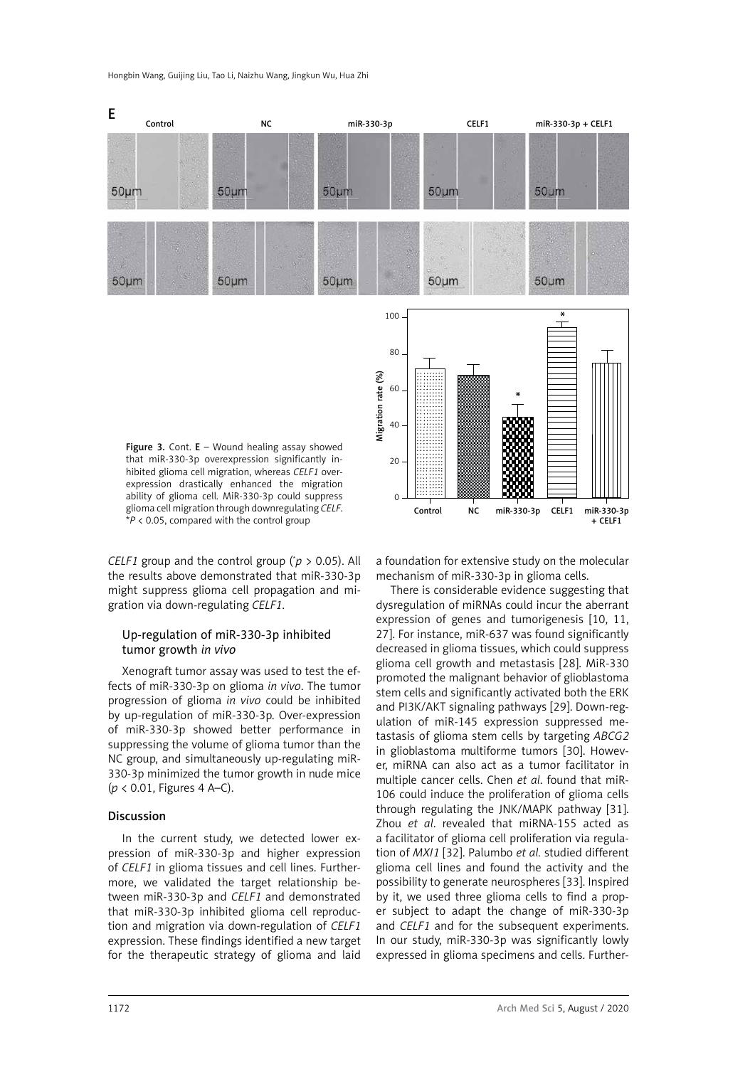

 $20$ 

 $\Omega$ 

that miR-330-3p overexpression significantly inhibited glioma cell migration, whereas *CELF1* overexpression drastically enhanced the migration ability of glioma cell. MiR-330-3p could suppress glioma cell migration through downregulating *CELF*. \**P* < 0.05, compared with the control group

*CELF1* group and the control group ( $p > 0.05$ ). All the results above demonstrated that miR-330-3p might suppress glioma cell propagation and migration via down-regulating *CELF1*.

## Up-regulation of miR-330-3p inhibited tumor growth *in vivo*

Xenograft tumor assay was used to test the effects of miR-330-3p on glioma *in vivo*. The tumor progression of glioma *in vivo* could be inhibited by up-regulation of miR-330-3p. Over-expression of miR-330-3p showed better performance in suppressing the volume of glioma tumor than the NC group, and simultaneously up-regulating miR-330-3p minimized the tumor growth in nude mice (*p* < 0.01, Figures 4 A–C).

#### Discussion

In the current study, we detected lower expression of miR-330-3p and higher expression of *CELF1* in glioma tissues and cell lines. Furthermore, we validated the target relationship between miR-330-3p and *CELF1* and demonstrated that miR-330-3p inhibited glioma cell reproduction and migration via down-regulation of *CELF1*  expression. These findings identified a new target for the therapeutic strategy of glioma and laid

a foundation for extensive study on the molecular mechanism of miR-330-3p in glioma cells.

Control NC miR-330-3p CELF1 miR-330-3p  $+$  CELF1

There is considerable evidence suggesting that dysregulation of miRNAs could incur the aberrant expression of genes and tumorigenesis [10, 11, 27]. For instance, miR-637 was found significantly decreased in glioma tissues, which could suppress glioma cell growth and metastasis [28]. MiR-330 promoted the malignant behavior of glioblastoma stem cells and significantly activated both the ERK and PI3K/AKT signaling pathways [29]. Down-regulation of miR-145 expression suppressed metastasis of glioma stem cells by targeting *ABCG2* in glioblastoma multiforme tumors [30]. However, miRNA can also act as a tumor facilitator in multiple cancer cells. Chen *et al*. found that miR-106 could induce the proliferation of glioma cells through regulating the JNK/MAPK pathway [31]. Zhou *et al*. revealed that miRNA-155 acted as a facilitator of glioma cell proliferation via regulation of *MXI1* [32]. Palumbo *et al.* studied different glioma cell lines and found the activity and the possibility to generate neurospheres [33]. Inspired by it, we used three glioma cells to find a proper subject to adapt the change of miR-330-3p and *CELF1* and for the subsequent experiments. In our study, miR-330-3p was significantly lowly expressed in glioma specimens and cells. Further-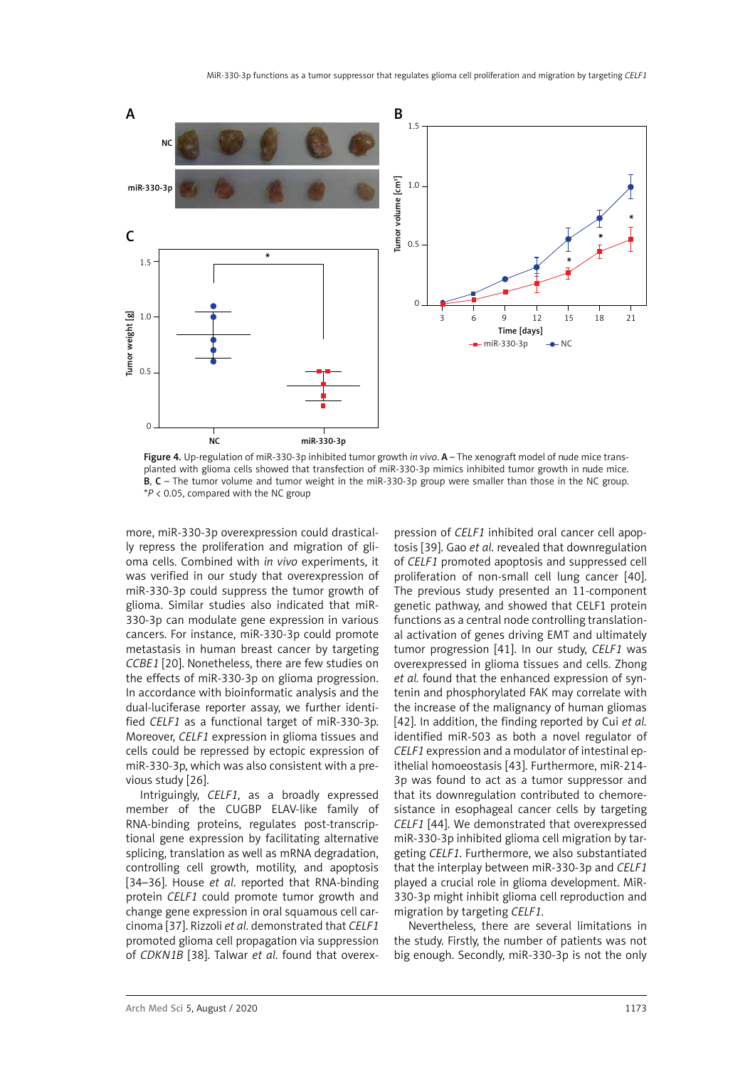

Figure 4. Up-regulation of miR-330-3p inhibited tumor growth *in vivo*. A – The xenograft model of nude mice transplanted with glioma cells showed that transfection of miR-330-3p mimics inhibited tumor growth in nude mice. B, C – The tumor volume and tumor weight in the miR-330-3p group were smaller than those in the NC group. \**P* < 0.05, compared with the NC group

more, miR-330-3p overexpression could drastically repress the proliferation and migration of glioma cells. Combined with *in vivo* experiments, it was verified in our study that overexpression of miR-330-3p could suppress the tumor growth of glioma. Similar studies also indicated that miR-330-3p can modulate gene expression in various cancers. For instance, miR-330-3p could promote metastasis in human breast cancer by targeting *CCBE1* [20]. Nonetheless, there are few studies on the effects of miR-330-3p on glioma progression. In accordance with bioinformatic analysis and the dual-luciferase reporter assay, we further identified *CELF1* as a functional target of miR-330-3p. Moreover, *CELF1* expression in glioma tissues and cells could be repressed by ectopic expression of miR-330-3p, which was also consistent with a previous study [26].

Intriguingly, *CELF1*, as a broadly expressed member of the CUGBP ELAV-like family of RNA-binding proteins, regulates post-transcriptional gene expression by facilitating alternative splicing, translation as well as mRNA degradation, controlling cell growth, motility, and apoptosis [34–36]. House *et al*. reported that RNA-binding protein CELF1 could promote tumor growth and change gene expression in oral squamous cell carcinoma [37]. Rizzoli *et al*. demonstrated that *CELF1*  promoted glioma cell propagation via suppression of *CDKN1B* [38]. Talwar *et al*. found that overex-

pression of *CELF1* inhibited oral cancer cell apoptosis [39]. Gao *et al*. revealed that downregulation of *CELF1* promoted apoptosis and suppressed cell proliferation of non-small cell lung cancer [40]. The previous study presented an 11-component genetic pathway, and showed that CELF1 protein functions as a central node controlling translational activation of genes driving EMT and ultimately tumor progression [41]. In our study, *CELF1* was overexpressed in glioma tissues and cells. Zhong *et al.* found that the enhanced expression of syntenin and phosphorylated FAK may correlate with the increase of the malignancy of human gliomas [42]. In addition, the finding reported by Cui *et al.* identified miR-503 as both a novel regulator of *CELF1* expression and a modulator of intestinal epithelial homoeostasis [43]. Furthermore, miR-214- 3p was found to act as a tumor suppressor and that its downregulation contributed to chemoresistance in esophageal cancer cells by targeting *CELF1* [44]. We demonstrated that overexpressed miR-330-3p inhibited glioma cell migration by targeting *CELF1*. Furthermore, we also substantiated that the interplay between miR-330-3p and *CELF1* played a crucial role in glioma development. MiR-330-3p might inhibit glioma cell reproduction and migration by targeting *CELF1*.

Nevertheless, there are several limitations in the study. Firstly, the number of patients was not big enough. Secondly, miR-330-3p is not the only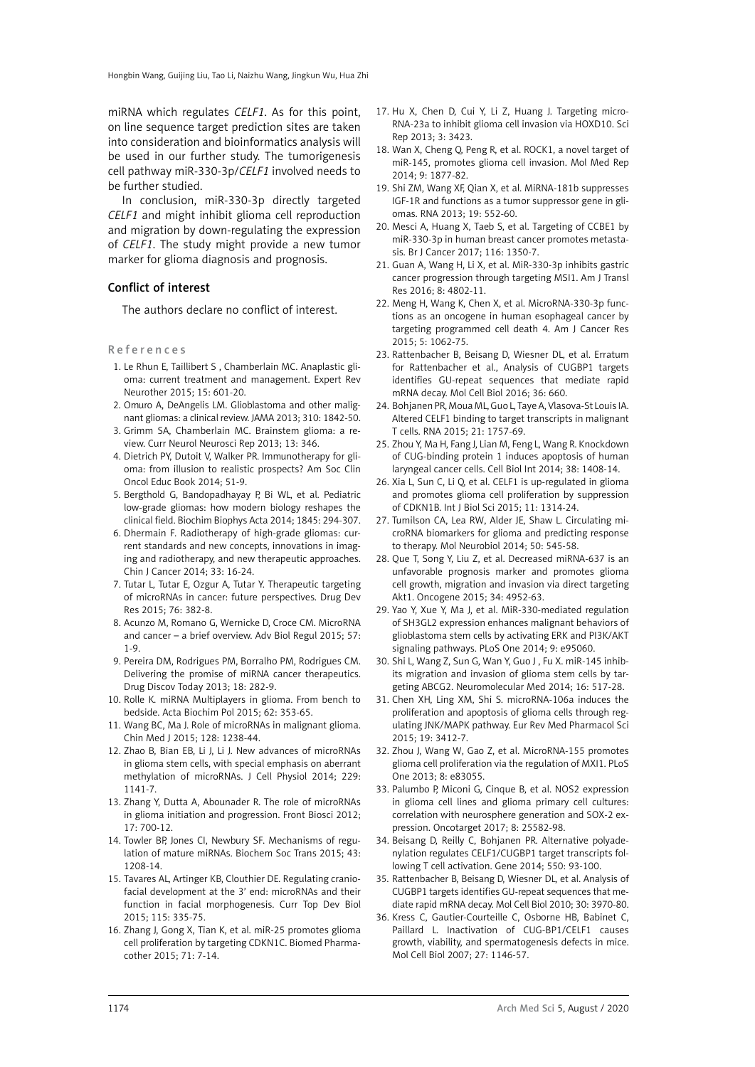miRNA which regulates *CELF1*. As for this point, on line sequence target prediction sites are taken into consideration and bioinformatics analysis will be used in our further study. The tumorigenesis cell pathway miR-330-3p/*CELF1* involved needs to be further studied.

In conclusion, miR-330-3p directly targeted *CELF1* and might inhibit glioma cell reproduction and migration by down-regulating the expression of *CELF1*. The study might provide a new tumor marker for glioma diagnosis and prognosis.

#### Conflict of interest

The authors declare no conflict of interest.

References

- 1. Le Rhun E, Taillibert S , Chamberlain MC. Anaplastic glioma: current treatment and management. Expert Rev Neurother 2015; 15: 601-20.
- 2. Omuro A, DeAngelis LM. Glioblastoma and other malignant gliomas: a clinical review. JAMA 2013; 310: 1842-50.
- 3. Grimm SA, Chamberlain MC. Brainstem glioma: a review. Curr Neurol Neurosci Rep 2013; 13: 346.
- 4. Dietrich PY, Dutoit V, Walker PR. Immunotherapy for glioma: from illusion to realistic prospects? Am Soc Clin Oncol Educ Book 2014; 51-9.
- 5. Bergthold G, Bandopadhayay P, Bi WL, et al. Pediatric low-grade gliomas: how modern biology reshapes the clinical field. Biochim Biophys Acta 2014; 1845: 294-307.
- 6. Dhermain F. Radiotherapy of high-grade gliomas: current standards and new concepts, innovations in imaging and radiotherapy, and new therapeutic approaches. Chin J Cancer 2014; 33: 16-24.
- 7. Tutar L, Tutar E, Ozgur A, Tutar Y. Therapeutic targeting of microRNAs in cancer: future perspectives. Drug Dev Res 2015; 76: 382-8.
- 8. Acunzo M, Romano G, Wernicke D, Croce CM. MicroRNA and cancer – a brief overview. Adv Biol Regul 2015; 57: 1-9.
- 9. Pereira DM, Rodrigues PM, Borralho PM, Rodrigues CM. Delivering the promise of miRNA cancer therapeutics. Drug Discov Today 2013; 18: 282-9.
- 10. Rolle K. miRNA Multiplayers in glioma. From bench to bedside. Acta Biochim Pol 2015; 62: 353-65.
- 11. Wang BC, Ma J. Role of microRNAs in malignant glioma. Chin Med J 2015; 128: 1238-44.
- 12. Zhao B, Bian EB, Li J, Li J. New advances of microRNAs in glioma stem cells, with special emphasis on aberrant methylation of microRNAs. J Cell Physiol 2014; 229: 1141-7.
- 13. Zhang Y, Dutta A, Abounader R. The role of microRNAs in glioma initiation and progression. Front Biosci 2012; 17: 700-12.
- 14. Towler BP, Jones CI, Newbury SF. Mechanisms of regulation of mature miRNAs. Biochem Soc Trans 2015; 43: 1208-14.
- 15. Tavares AL, Artinger KB, Clouthier DE. Regulating craniofacial development at the 3' end: microRNAs and their function in facial morphogenesis. Curr Top Dev Biol 2015; 115: 335-75.
- 16. Zhang J, Gong X, Tian K, et al. miR-25 promotes glioma cell proliferation by targeting CDKN1C. Biomed Pharmacother 2015; 71: 7-14.
- 17. Hu X, Chen D, Cui Y, Li Z, Huang J. Targeting micro-RNA-23a to inhibit glioma cell invasion via HOXD10. Sci Rep 2013; 3: 3423.
- 18. Wan X, Cheng Q, Peng R, et al. ROCK1, a novel target of miR-145, promotes glioma cell invasion. Mol Med Rep 2014; 9: 1877-82.
- 19. Shi ZM, Wang XF, Qian X, et al. MiRNA-181b suppresses IGF-1R and functions as a tumor suppressor gene in gliomas. RNA 2013; 19: 552-60.
- 20. Mesci A, Huang X, Taeb S, et al. Targeting of CCBE1 by miR-330-3p in human breast cancer promotes metastasis. Br J Cancer 2017; 116: 1350-7.
- 21. Guan A, Wang H, Li X, et al. MiR-330-3p inhibits gastric cancer progression through targeting MSI1. Am J Transl Res 2016; 8: 4802-11.
- 22. Meng H, Wang K, Chen X, et al. MicroRNA-330-3p functions as an oncogene in human esophageal cancer by targeting programmed cell death 4. Am J Cancer Res 2015; 5: 1062-75.
- 23. Rattenbacher B, Beisang D, Wiesner DL, et al. Erratum for Rattenbacher et al., Analysis of CUGBP1 targets identifies GU-repeat sequences that mediate rapid mRNA decay. Mol Cell Biol 2016; 36: 660.
- 24. Bohjanen PR, Moua ML, Guo L, Taye A, Vlasova-St Louis IA. Altered CELF1 binding to target transcripts in malignant T cells. RNA 2015; 21: 1757-69.
- 25. Zhou Y, Ma H, Fang J, Lian M, Feng L, Wang R. Knockdown of CUG-binding protein 1 induces apoptosis of human laryngeal cancer cells. Cell Biol Int 2014; 38: 1408-14.
- 26. Xia L, Sun C, Li Q, et al. CELF1 is up-regulated in glioma and promotes glioma cell proliferation by suppression of CDKN1B. Int J Biol Sci 2015; 11: 1314-24.
- 27. Tumilson CA, Lea RW, Alder JE, Shaw L. Circulating microRNA biomarkers for glioma and predicting response to therapy. Mol Neurobiol 2014; 50: 545-58.
- 28. Que T, Song Y, Liu Z, et al. Decreased miRNA-637 is an unfavorable prognosis marker and promotes glioma cell growth, migration and invasion via direct targeting Akt1. Oncogene 2015; 34: 4952-63.
- 29. Yao Y, Xue Y, Ma J, et al. MiR-330-mediated regulation of SH3GL2 expression enhances malignant behaviors of glioblastoma stem cells by activating ERK and PI3K/AKT signaling pathways. PLoS One 2014; 9: e95060.
- 30. Shi L, Wang Z, Sun G, Wan Y, Guo J , Fu X. miR-145 inhibits migration and invasion of glioma stem cells by targeting ABCG2. Neuromolecular Med 2014; 16: 517-28.
- 31. Chen XH, Ling XM, Shi S. microRNA-106a induces the proliferation and apoptosis of glioma cells through regulating JNK/MAPK pathway. Eur Rev Med Pharmacol Sci 2015; 19: 3412-7.
- 32. Zhou J, Wang W, Gao Z, et al. MicroRNA-155 promotes glioma cell proliferation via the regulation of MXI1. PLoS One 2013; 8: e83055.
- 33. Palumbo P, Miconi G, Cinque B, et al. NOS2 expression in glioma cell lines and glioma primary cell cultures: correlation with neurosphere generation and SOX-2 expression. Oncotarget 2017; 8: 25582-98.
- 34. Beisang D, Reilly C, Bohjanen PR. Alternative polyadenylation regulates CELF1/CUGBP1 target transcripts following T cell activation. Gene 2014; 550: 93-100.
- 35. Rattenbacher B, Beisang D, Wiesner DL, et al. Analysis of CUGBP1 targets identifies GU-repeat sequences that mediate rapid mRNA decay. Mol Cell Biol 2010; 30: 3970-80.
- 36. Kress C, Gautier-Courteille C, Osborne HB, Babinet C, Paillard L. Inactivation of CUG-BP1/CELF1 causes growth, viability, and spermatogenesis defects in mice. Mol Cell Biol 2007; 27: 1146-57.